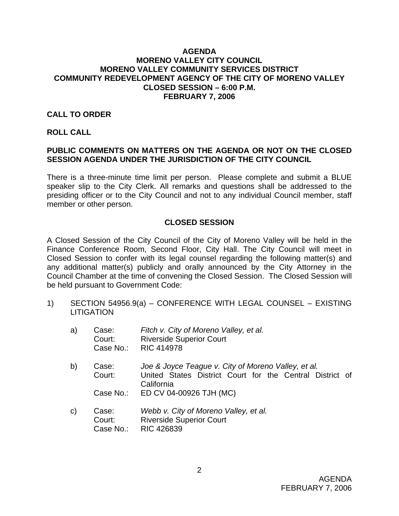#### **AGENDA MORENO VALLEY CITY COUNCIL MORENO VALLEY COMMUNITY SERVICES DISTRICT COMMUNITY REDEVELOPMENT AGENCY OF THE CITY OF MORENO VALLEY CLOSED SESSION – 6:00 P.M. FEBRUARY 7, 2006**

### **CALL TO ORDER**

#### **ROLL CALL**

## **PUBLIC COMMENTS ON MATTERS ON THE AGENDA OR NOT ON THE CLOSED SESSION AGENDA UNDER THE JURISDICTION OF THE CITY COUNCIL**

There is a three-minute time limit per person. Please complete and submit a BLUE speaker slip to the City Clerk. All remarks and questions shall be addressed to the presiding officer or to the City Council and not to any individual Council member, staff member or other person.

## **CLOSED SESSION**

A Closed Session of the City Council of the City of Moreno Valley will be held in the Finance Conference Room, Second Floor, City Hall. The City Council will meet in Closed Session to confer with its legal counsel regarding the following matter(s) and any additional matter(s) publicly and orally announced by the City Attorney in the Council Chamber at the time of convening the Closed Session. The Closed Session will be held pursuant to Government Code:

1) SECTION 54956.9(a) – CONFERENCE WITH LEGAL COUNSEL – EXISTING **LITIGATION** 

| a) | Case:<br>Court:<br>Case No.: | Fitch v. City of Moreno Valley, et al.<br><b>Riverside Superior Court</b><br><b>RIC 414978</b>                                |
|----|------------------------------|-------------------------------------------------------------------------------------------------------------------------------|
| b) | Case:<br>Court:              | Joe & Joyce Teague v. City of Moreno Valley, et al.<br>United States District Court for the Central District of<br>California |
|    | Case No.:                    | ED CV 04-00926 TJH (MC)                                                                                                       |
| C) | Case:<br>Court:<br>Case No.: | Webb v. City of Moreno Valley, et al.<br><b>Riverside Superior Court</b><br><b>RIC 426839</b>                                 |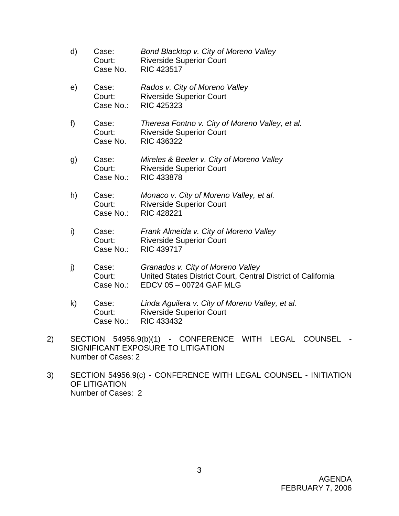- d) Case: *Bond Blacktop v. City of Moreno Valley* Court: Riverside Superior Court Case No. RIC 423517 e) Case: *Rados v. City of Moreno Valley*  Court: Riverside Superior Court Case No.: RIC 425323 f) Case: *Theresa Fontno v. City of Moreno Valley, et al.* Court: Riverside Superior Court Case No. RIC 436322 g) Case: *Mireles & Beeler v. City of Moreno Valley*  Court: Riverside Superior Court Case No.: RIC 433878 h) Case: *Monaco v. City of Moreno Valley, et al.*  Court: Riverside Superior Court Case No.: RIC 428221 i) Case: *Frank Almeida v. City of Moreno Valley*  Court: Riverside Superior Court Case No.: RIC 439717
- j) Case: *Granados v. City of Moreno Valley* Court: United States District Court, Central District of California Case No.: EDCV 05 – 00724 GAF MLG
- k) Case: *Linda Aguilera v. City of Moreno Valley, et al.*  Court: Riverside Superior Court Case No.: RIC 433432
- 2) SECTION 54956.9(b)(1) CONFERENCE WITH LEGAL COUNSEL SIGNIFICANT EXPOSURE TO LITIGATION Number of Cases: 2
- 3) SECTION 54956.9(c) CONFERENCE WITH LEGAL COUNSEL INITIATION OF LITIGATION Number of Cases: 2